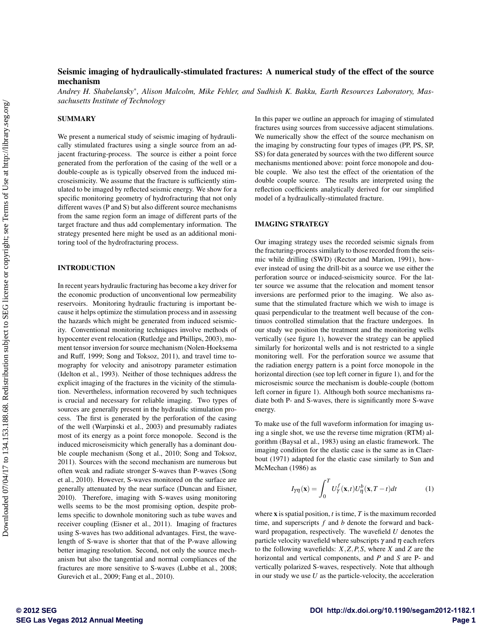# Seismic imaging of hydraulically-stimulated fractures: A numerical study of the effect of the source mechanism

Andrey H. Shabelansky\*, Alison Malcolm, Mike Fehler, and Sudhish K. Bakku, Earth Resources Laboratory, Mas*sachusetts Institute of Technology*

## **SUMMARY**

We present a numerical study of seismic imaging of hydraulically stimulated fractures using a single source from an adjacent fracturing-process. The source is either a point force generated from the perforation of the casing of the well or a double-couple as is typically observed from the induced microseismicity. We assume that the fracture is sufficiently stimulated to be imaged by reflected seismic energy. We show for a specific monitoring geometry of hydrofracturing that not only different waves (P and S) but also different source mechanisms from the same region form an image of different parts of the target fracture and thus add complementary information. The strategy presented here might be used as an additional monitoring tool of the hydrofracturing process.

## INTRODUCTION

In recent years hydraulic fracturing has become a key driver for the economic production of unconventional low permeability reservoirs. Monitoring hydraulic fracturing is important because it helps optimize the stimulation process and in assessing the hazards which might be generated from induced seismicity. Conventional monitoring techniques involve methods of hypocenter event relocation (Rutledge and Phillips, 2003), moment tensor inversion for source mechanism (Nolen-Hoeksema and Ruff, 1999; Song and Toksoz, 2011), and travel time tomography for velocity and anisotropy parameter estimation (Idelton et al., 1993). Neither of those techniques address the explicit imaging of the fractures in the vicinity of the stimulation. Nevertheless, information recovered by such techniques is crucial and necessary for reliable imaging. Two types of sources are generally present in the hydraulic stimulation process. The first is generated by the perforation of the casing of the well (Warpinski et al., 2003) and presumably radiates most of its energy as a point force monopole. Second is the induced microseismicity which generally has a dominant double couple mechanism (Song et al., 2010; Song and Toksoz, 2011). Sources with the second mechanism are numerous but often weak and radiate stronger S-waves than P-waves (Song et al., 2010). However, S-waves monitored on the surface are generally attenuated by the near surface (Duncan and Eisner, 2010). Therefore, imaging with S-waves using monitoring wells seems to be the most promising option, despite problems specific to downhole monitoring such as tube waves and receiver coupling (Eisner et al., 2011). Imaging of fractures using S-waves has two additional advantages. First, the wavelength of S-wave is shorter that that of the P-wave allowing better imaging resolution. Second, not only the source mechanism but also the tangential and normal compliances of the fractures are more sensitive to S-waves (Lubbe et al., 2008; Gurevich et al., 2009; Fang et al., 2010).

In this paper we outline an approach for imaging of stimulated fractures using sources from successive adjacent stimulations. We numerically show the effect of the source mechanism on the imaging by constructing four types of images (PP, PS, SP, SS) for data generated by sources with the two different source mechanisms mentioned above: point force monopole and double couple. We also test the effect of the orientation of the double couple source. The results are interpreted using the reflection coefficients analytically derived for our simplified model of a hydraulically-stimulated fracture.

#### IMAGING STRATEGY

Our imaging strategy uses the recorded seismic signals from the fracturing-process similarly to those recorded from the seismic while drilling (SWD) (Rector and Marion, 1991), however instead of using the drill-bit as a source we use either the perforation source or induced-seismicity source. For the latter source we assume that the relocation and moment tensor inversions are performed prior to the imaging. We also assume that the stimulated fracture which we wish to image is quasi perpendicular to the treatment well because of the continuos controlled stimulation that the fracture undergoes. In our study we position the treatment and the monitoring wells vertically (see figure 1), however the strategy can be applied similarly for horizontal wells and is not restricted to a single monitoring well. For the perforation source we assume that the radiation energy pattern is a point force monopole in the horizontal direction (see top left corner in figure 1), and for the microseismic source the mechanism is double-couple (bottom left corner in figure 1). Although both source mechanisms radiate both P- and S-waves, there is significantly more S-wave energy.

To make use of the full waveform information for imaging using a single shot, we use the reverse time migration (RTM) algorithm (Baysal et al., 1983) using an elastic framework. The imaging condition for the elastic case is the same as in Claerbout (1971) adapted for the elastic case similarly to Sun and McMechan (1986) as

$$
I_{\gamma\eta}(\mathbf{x}) = \int_0^T U_\gamma^f(\mathbf{x}, t) U_\eta^b(\mathbf{x}, T - t) dt
$$
 (1)

where  $\bf{x}$  is spatial position,  $t$  is time,  $T$  is the maximum recorded time, and superscripts *f* and *b* denote the forward and backward propagation, respectively. The wavefield *U* denotes the particle velocity wavefield where subscripts  $\gamma$  and  $\eta$  each refers to the following wavefields:  $X$ , $Z$ , $P$ , $S$ , where  $X$  and  $Z$  are the horizontal and vertical components, and *P* and *S* are P- and vertically polarized S-waves, respectively. Note that although in our study we use *U* as the particle-velocity, the acceleration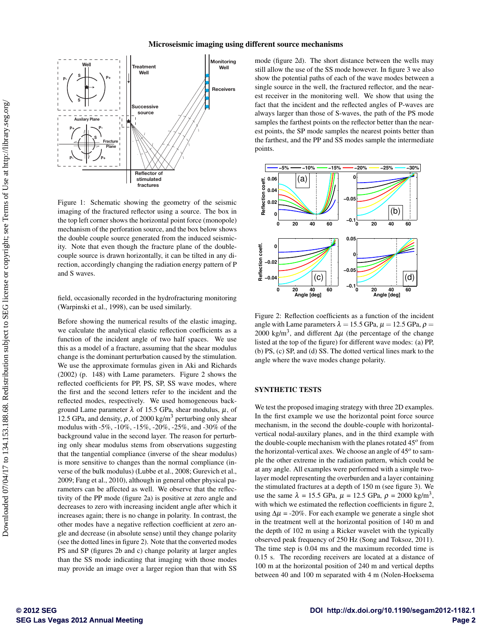

Figure 1: Schematic showing the geometry of the seismic imaging of the fractured reflector using a source. The box in the top left corner shows the horizontal point force (monopole) mechanism of the perforation source, and the box below shows the double couple source generated from the induced seismicity. Note that even though the fracture plane of the doublecouple source is drawn horizontally, it can be tilted in any direction, accordingly changing the radiation energy pattern of P and S waves.

field, occasionally recorded in the hydrofracturing monitoring (Warpinski et al., 1998), can be used similarly.

Before showing the numerical results of the elastic imaging, we calculate the analytical elastic reflection coefficients as a function of the incident angle of two half spaces. We use this as a model of a fracture, assuming that the shear modulus change is the dominant perturbation caused by the stimulation. We use the approximate formulas given in Aki and Richards (2002) (p. 148) with Lame parameters. Figure 2 shows the reflected coefficients for PP, PS, SP, SS wave modes, where the first and the second letters refer to the incident and the reflected modes, respectively. We used homogeneous background Lame parameter  $\lambda$  of 15.5 GPa, shear modulus,  $\mu$ , of 12.5 GPa, and density,  $\rho$ , of 2000 kg/m<sup>3</sup> perturbing only shear modulus with -5%, -10%, -15%, -20%, -25%, and -30% of the background value in the second layer. The reason for perturbing only shear modulus stems from observations suggesting that the tangential compliance (inverse of the shear modulus) is more sensitive to changes than the normal compliance (inverse of the bulk modulus) (Lubbe et al., 2008; Gurevich et al., 2009; Fang et al., 2010), although in general other physical parameters can be affected as well. We observe that the reflectivity of the PP mode (figure 2a) is positive at zero angle and decreases to zero with increasing incident angle after which it increases again; there is no change in polarity. In contrast, the other modes have a negative reflection coefficient at zero angle and decrease (in absolute sense) until they change polarity (see the dotted lines in figure 2). Note that the converted modes PS and SP (figures 2b and c) change polarity at larger angles than the SS mode indicating that imaging with those modes may provide an image over a larger region than that with SS

mode (figure 2d). The short distance between the wells may still allow the use of the SS mode however. In figure 3 we also show the potential paths of each of the wave modes between a single source in the well, the fractured reflector, and the nearest receiver in the monitoring well. We show that using the fact that the incident and the reflected angles of P-waves are always larger than those of S-waves, the path of the PS mode samples the farthest points on the reflector better than the nearest points, the SP mode samples the nearest points better than the farthest, and the PP and SS modes sample the intermediate points.



Figure 2: Reflection coefficients as a function of the incident angle with Lame parameters  $\lambda = 15.5$  GPa,  $\mu = 12.5$  GPa,  $\rho =$ 2000 kg/m<sup>3</sup>, and different  $\Delta \mu$  (the percentage of the change listed at the top of the figure) for different wave modes: (a) PP, (b) PS, (c) SP, and (d) SS. The dotted vertical lines mark to the angle where the wave modes change polarity.

## SYNTHETIC TESTS

We test the proposed imaging strategy with three 2D examples. In the first example we use the horizontal point force source mechanism, in the second the double-couple with horizontalvertical nodal-auxilary planes, and in the third example with the double-couple mechanism with the planes rotated 45<sup>o</sup> from the horizontal-vertical axes. We choose an angle of 45<sup>o</sup> to sample the other extreme in the radiation pattern, which could be at any angle. All examples were performed with a simple twolayer model representing the overburden and a layer containing the stimulated fractures at a depth of 150 m (see figure 3). We use the same  $\lambda = 15.5$  GPa,  $\mu = 12.5$  GPa,  $\rho = 2000$  kg/m<sup>3</sup>, with which we estimated the reflection coefficients in figure 2, using  $\Delta \mu = -20\%$ . For each example we generate a single shot in the treatment well at the horizontal position of 140 m and the depth of 102 m using a Ricker wavelet with the typically observed peak frequency of 250 Hz (Song and Toksoz, 2011). The time step is 0.04 ms and the maximum recorded time is 0.15 s. The recording receivers are located at a distance of 100 m at the horizontal position of 240 m and vertical depths between 40 and 100 m separated with 4 m (Nolen-Hoeksema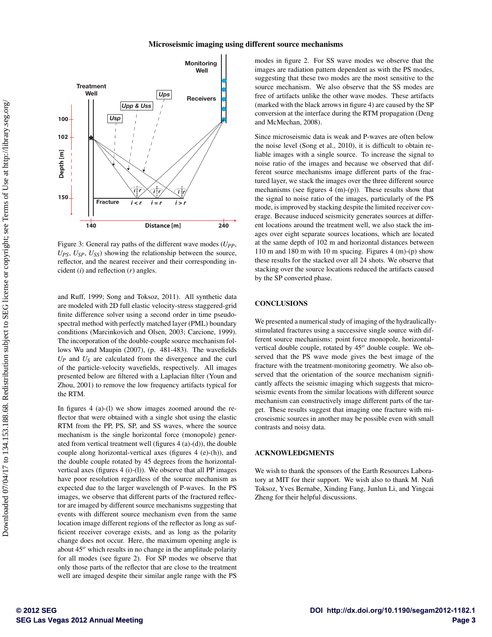#### Microseismic imaging using different source mechanisms



Figure 3: General ray paths of the different wave modes ( *UPP* ,  $U_{PS}$ ,  $U_{SP}$ ,  $U_{SS}$ ) showing the relationship between the source, reflector, and the nearest receiver and their corresponding incident (*i*) and reflection (*r*) angles.

and Ruff, 1999; Song and Toksoz, 2011). All synthetic data are modeled with 2D full elastic velocity-stress staggered-grid finite difference solver using a second order in time pseudospectral method with perfectly matched layer (PML) boundary conditions (Marcinkovich and Olsen, 2003; Carcione, 1999). The incorporation of the double-couple source mechanism follows Wu and Maupin (2007), (p. 481-483). The wavefields  $U_P$  and  $U_S$  are calculated from the divergence and the curl of the particle-velocity wavefields, respectively. All images presented below are filtered with a Laplacian filter (Youn and Zhou, 2001) to remove the low frequency artifacts typical for the RTM.

In figures 4 (a)-(l) we show images zoomed around the reflector that were obtained with a single shot using the elastic RTM from the PP, PS, SP, and SS waves, where the source mechanism is the single horizontal force (monopole) generated from vertical treatment well (figures 4 (a)-(d)), the double couple along horizontal-vertical axes (figures 4 (e)-(h)), and the double couple rotated by 45 degrees from the horizontalvertical axes (figures 4 (i)-(l)). We observe that all PP images have poor resolution regardless of the source mechanism as expected due to the larger wavelength of P-waves. In the PS images, we observe that different parts of the fractured reflector are imaged by different source mechanisms suggesting that events with different source mechanism even from the same location image different regions of the reflector as long as sufficient receiver coverage exists, and as long as the polarity change does not occur. Here, the maximum opening angle is about 45<sup>o</sup> which results in no change in the amplitude polarity for all modes (see figure 2). For SP modes we observe that only those parts of the reflector that are close to the treatment well are imaged despite their similar angle range with the PS

modes in figure 2. For SS wave modes we observe that the images are radiation pattern dependent as with the PS modes, suggesting that these two modes are the most sensitive to the source mechanism. We also observe that the SS modes are free of artifacts unlike the other wave modes. These artifacts (marked with the black arrows in figure 4) are caused by the SP conversion at the interface during the RTM propagation (Deng and McMechan, 2008).

Since microseismic data is weak and P-waves are often below the noise level (Song et al., 2010), it is difficult to obtain reliable images with a single source. To increase the signal to noise ratio of the images and because we observed that different source mechanisms image different parts of the fractured layer, we stack the images over the three different source mechanisms (see figures 4 (m)-(p)). These results show that the signal to noise ratio of the images, particularly of the PS mode, is improved by stacking despite the limited receiver coverage. Because induced seismicity generates sources at different locations around the treatment well, we also stack the images over eight separate sources locations, which are located at the same depth of 102 m and horizontal distances between 110 m and 180 m with 10 m spacing. Figures 4 (m)-(p) show these results for the stacked over all 24 shots. We observe that stacking over the source locations reduced the artifacts caused by the SP converted phase.

## **CONCLUSIONS**

We presented a numerical study of imaging of the hydraulicallystimulated fractures using a successive single source with different source mechanisms: point force monopole, horizontalvertical double couple, rotated by 45*<sup>o</sup>* double couple. We observed that the PS wave mode gives the best image of the fracture with the treatment-monitoring geometry. We also observed that the orientation of the source mechanism significantly affects the seismic imaging which suggests that microseismic events from the similar locations with different source mechanism can constructively image different parts of the target. These results suggest that imaging one fracture with microseismic sources in another may be possible even with small contrasts and noisy data.

#### ACKNOWLEDGMENTS

We wish to thank the sponsors of the Earth Resources Laboratory at MIT for their support. We wish also to thank M. Nafi Toksoz, Yves Bernabe, Xinding Fang, Junlun Li, and Yingcai Zheng for their helpful discussions.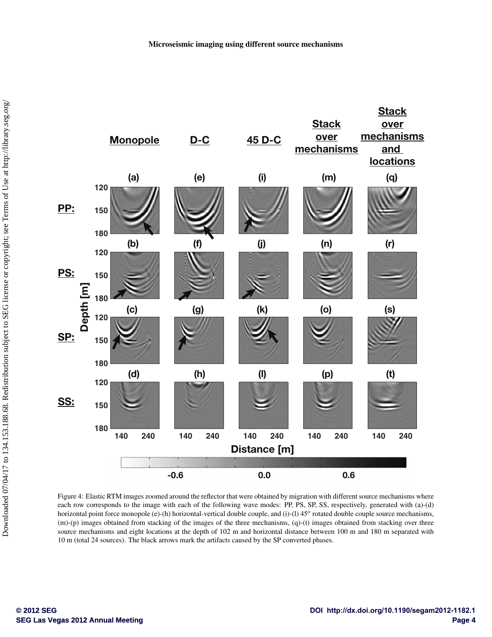

Figure 4: Elastic RTM images zoomed around the reflector that were obtained by migration with different source mechanisms where each row corresponds to the image with each of the following wave modes: PP, PS, SP, SS, respectively, generated with (a)-(d) horizontal point force monopole (e)-(h) horizontal-vertical double couple, and (i)-(l) 45<sup>o</sup> rotated double couple source mechanisms, (m)-(p) images obtained from stacking of the images of the three mechanisms, (q)-(t) images obtained from stacking over three source mechanisms and eight locations at the depth of 102 m and horizontal distance between 100 m and 180 m separated with 10 m (total 24 sources). The black arrows mark the artifacts caused by the SP converted phases.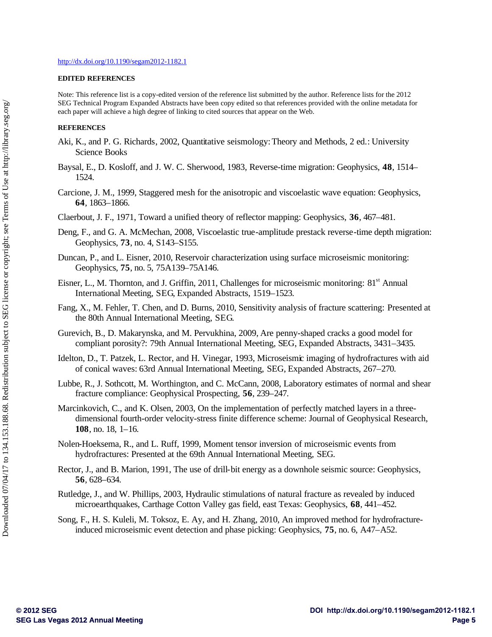### **EDITED REFERENCES**

Note: This reference list is a copy-edited version of the reference list submitted by the author. Reference lists for the 2012 SEG Technical Program Expanded Abstracts have been copy edited so that references provided with the online metadata for each paper will achieve a high degree of linking to cited sources that appear on the Web.

## **REFERENCES**

- Aki, K., and P. G. Richards, 2002, Quantitative seismology: Theory and Methods, 2 ed.: University Science Books
- Baysal, E., D. Kosloff, and J. W. C. Sherwood, 1983, Reverse-time migration: Geophysics, **48**, 1514– 1524.
- Carcione, J. M., 1999, Staggered mesh for the anisotropic and viscoelastic wave equation: Geophysics, **64**, 1863–1866.
- Claerbout, J. F., 1971, Toward a unified theory of reflector mapping: Geophysics, **36**, 467–481.
- Deng, F., and G. A. McMechan, 2008, Viscoelastic true-amplitude prestack reverse-time depth migration: Geophysics, **73**, no. 4, S143–S155.
- Duncan, P., and L. Eisner, 2010, Reservoir characterization using surface microseismic monitoring: Geophysics, **75**, no. 5, 75A139–75A146.
- Eisner, L., M. Thornton, and J. Griffin, 2011, Challenges for microseismic monitoring: 81<sup>st</sup> Annual International Meeting, SEG, Expanded Abstracts, 1519–1523.
- Fang, X., M. Fehler, T. Chen, and D. Burns, 2010, Sensitivity analysis of fracture scattering: Presented at the 80th Annual International Meeting, SEG.
- Gurevich, B., D. Makarynska, and M. Pervukhina, 2009, Are penny-shaped cracks a good model for compliant porosity?: 79th Annual International Meeting, SEG, Expanded Abstracts, 3431–3435.
- Idelton, D., T. Patzek, L. Rector, and H. Vinegar, 1993, Microseismic imaging of hydrofractures with aid of conical waves: 63rd Annual International Meeting, SEG, Expanded Abstracts, 267–270.
- Lubbe, R., J. Sothcott, M. Worthington, and C. McCann, 2008, Laboratory estimates of normal and shear fracture compliance: Geophysical Prospecting, **56**, 239–247.
- Marcinkovich, C., and K. Olsen, 2003, On the implementation of perfectly matched layers in a threedimensional fourth-order velocity-stress finite difference scheme: Journal of Geophysical Research, **108**, no. 18, 1–16.
- Nolen-Hoeksema, R., and L. Ruff, 1999, Moment tensor inversion of microseismic events from hydrofractures: Presented at the 69th Annual International Meeting, SEG.
- Rector, J., and B. Marion, 1991, The use of drill-bit energy as a downhole seismic source: Geophysics, **56**, 628–634.
- Rutledge, J., and W. Phillips, 2003, Hydraulic stimulations of natural fracture as revealed by induced microearthquakes, Carthage Cotton Valley gas field, east Texas: Geophysics, **68**, 441–452.
- Song, F., H. S. Kuleli, M. Toksoz, E. Ay, and H. Zhang, 2010, An improved method for hydrofractureinduced microseismic event detection and phase picking: Geophysics, **75**, no. 6, A47–A52.